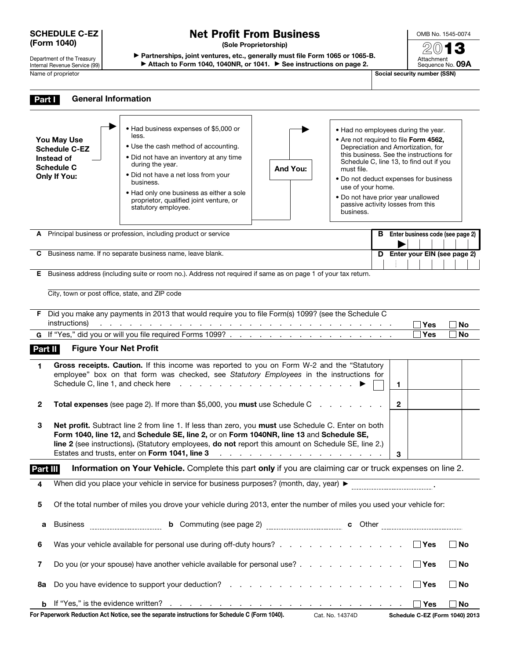#### SCHEDULE C-EZ (Form 1040)

Department of the Treasury Internal Revenue Service (99) Name of proprietor SSN)

# Net Profit From Business

(Sole Proprietorship)

▶ Partnerships, joint ventures, etc., generally must file Form 1065 or 1065-B.

▶ Attach to Form 1040, 1040NR, or 1041. ▶ See instructions on page 2.

OMB No. 1545-0074 2013 Attachment Sequence No. 09A

| Part I            | <b>General Information</b>                                                                                            |                                                                                                                                                                                                                                                                                                                                                                                                                                       |                                                                                 |                                                                                                                                                                                                                                                                                                                                                                              |                                           |           |  |  |  |
|-------------------|-----------------------------------------------------------------------------------------------------------------------|---------------------------------------------------------------------------------------------------------------------------------------------------------------------------------------------------------------------------------------------------------------------------------------------------------------------------------------------------------------------------------------------------------------------------------------|---------------------------------------------------------------------------------|------------------------------------------------------------------------------------------------------------------------------------------------------------------------------------------------------------------------------------------------------------------------------------------------------------------------------------------------------------------------------|-------------------------------------------|-----------|--|--|--|
|                   | You May Use<br><b>Schedule C-EZ</b><br>Instead of<br><b>Schedule C</b><br><b>Only If You:</b>                         | • Had business expenses of \$5,000 or<br>less.<br>• Use the cash method of accounting.<br>• Did not have an inventory at any time<br>during the year.<br>• Did not have a net loss from your<br>business.<br>. Had only one business as either a sole<br>proprietor, qualified joint venture, or<br>statutory employee.                                                                                                               | And You:                                                                        | • Had no employees during the year.<br>. Are not required to file Form 4562,<br>Depreciation and Amortization, for<br>this business. See the instructions for<br>Schedule C, line 13, to find out if you<br>must file.<br>• Do not deduct expenses for business<br>use of your home.<br>. Do not have prior year unallowed<br>passive activity losses from this<br>business. |                                           |           |  |  |  |
| А                 |                                                                                                                       | Principal business or profession, including product or service                                                                                                                                                                                                                                                                                                                                                                        |                                                                                 |                                                                                                                                                                                                                                                                                                                                                                              | <b>B</b> Enter business code (see page 2) |           |  |  |  |
| С                 |                                                                                                                       | Business name. If no separate business name, leave blank.                                                                                                                                                                                                                                                                                                                                                                             |                                                                                 | D                                                                                                                                                                                                                                                                                                                                                                            | Enter your EIN (see page 2)               |           |  |  |  |
| Е                 |                                                                                                                       | Business address (including suite or room no.). Address not required if same as on page 1 of your tax return.                                                                                                                                                                                                                                                                                                                         |                                                                                 |                                                                                                                                                                                                                                                                                                                                                                              |                                           |           |  |  |  |
|                   | City, town or post office, state, and ZIP code                                                                        |                                                                                                                                                                                                                                                                                                                                                                                                                                       |                                                                                 |                                                                                                                                                                                                                                                                                                                                                                              |                                           |           |  |  |  |
|                   | instructions)                                                                                                         | F Did you make any payments in 2013 that would require you to file Form(s) 1099? (see the Schedule C<br>ومناقب والمناقب والمناقب والمناقب والمناقب والمناقب والمناقب والمناقب والمناقب والمناقب والمناقب والمناقب                                                                                                                                                                                                                     |                                                                                 |                                                                                                                                                                                                                                                                                                                                                                              | Yes                                       | No        |  |  |  |
|                   |                                                                                                                       |                                                                                                                                                                                                                                                                                                                                                                                                                                       |                                                                                 |                                                                                                                                                                                                                                                                                                                                                                              | <b>Yes</b>                                | <b>No</b> |  |  |  |
| Part II<br>1.     | <b>Figure Your Net Profit</b>                                                                                         | Gross receipts. Caution. If this income was reported to you on Form W-2 and the "Statutory<br>employee" box on that form was checked, see Statutory Employees in the instructions for<br>Schedule C, line 1, and check here reading the reading to reading the set of the schedule C, line 1, and the r                                                                                                                               |                                                                                 | 1                                                                                                                                                                                                                                                                                                                                                                            |                                           |           |  |  |  |
| $\mathbf{2}$<br>3 |                                                                                                                       | Total expenses (see page 2). If more than \$5,000, you must use Schedule C<br>Net profit. Subtract line 2 from line 1. If less than zero, you must use Schedule C. Enter on both<br>Form 1040, line 12, and Schedule SE, line 2, or on Form 1040NR, line 13 and Schedule SE,<br>line 2 (see instructions). (Statutory employees, do not report this amount on Schedule SE, line 2.)<br>Estates and trusts, enter on Form 1041, line 3 | the contract of the contract of the contract of the contract of the contract of | $\mathbf{2}$<br>3                                                                                                                                                                                                                                                                                                                                                            |                                           |           |  |  |  |
| Part III          |                                                                                                                       | Information on Your Vehicle. Complete this part only if you are claiming car or truck expenses on line 2.                                                                                                                                                                                                                                                                                                                             |                                                                                 |                                                                                                                                                                                                                                                                                                                                                                              |                                           |           |  |  |  |
| 4                 |                                                                                                                       |                                                                                                                                                                                                                                                                                                                                                                                                                                       |                                                                                 |                                                                                                                                                                                                                                                                                                                                                                              |                                           |           |  |  |  |
| 5                 | Of the total number of miles you drove your vehicle during 2013, enter the number of miles you used your vehicle for: |                                                                                                                                                                                                                                                                                                                                                                                                                                       |                                                                                 |                                                                                                                                                                                                                                                                                                                                                                              |                                           |           |  |  |  |
| а                 | <b>Business</b>                                                                                                       |                                                                                                                                                                                                                                                                                                                                                                                                                                       |                                                                                 |                                                                                                                                                                                                                                                                                                                                                                              |                                           |           |  |  |  |
| 6                 |                                                                                                                       | Was your vehicle available for personal use during off-duty hours? $\Box$ Yes                                                                                                                                                                                                                                                                                                                                                         |                                                                                 |                                                                                                                                                                                                                                                                                                                                                                              |                                           | $\Box$ No |  |  |  |
| 7                 |                                                                                                                       | Do you (or your spouse) have another vehicle available for personal use?                                                                                                                                                                                                                                                                                                                                                              |                                                                                 |                                                                                                                                                                                                                                                                                                                                                                              | $\Box$ Yes                                | $\Box$ No |  |  |  |
| 8а                |                                                                                                                       |                                                                                                                                                                                                                                                                                                                                                                                                                                       |                                                                                 |                                                                                                                                                                                                                                                                                                                                                                              | │ Yes                                     | $\Box$ No |  |  |  |
|                   |                                                                                                                       |                                                                                                                                                                                                                                                                                                                                                                                                                                       |                                                                                 |                                                                                                                                                                                                                                                                                                                                                                              |                                           | _l No     |  |  |  |

For Paperwork Reduction Act Notice, see the separate instructions for Schedule C (Form 1040). Cat. No. 14374D Schedule C-EZ (Form 1040) 2013